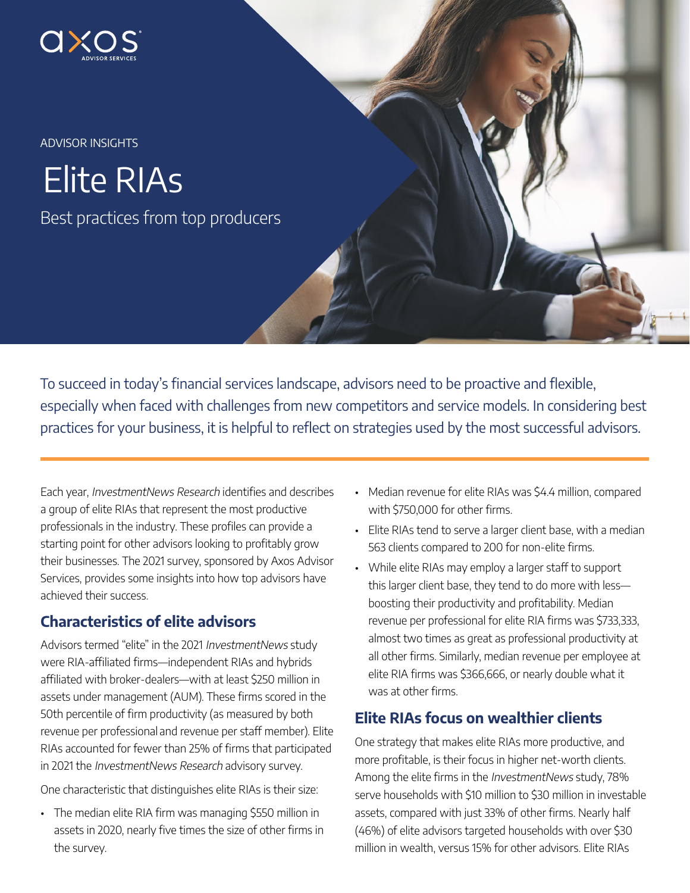

ADVISOR INSIGHTS

Elite RIAs

Best practices from top producers

To succeed in today's financial services landscape, advisors need to be proactive and flexible, especially when faced with challenges from new competitors and service models. In considering best practices for your business, it is helpful to reflect on strategies used by the most successful advisors.

Each year, InvestmentNews Research identifies and describes a group of elite RIAs that represent the most productive professionals in the industry. These profiles can provide a starting point for other advisors looking to profitably grow their businesses. The 2021 survey, sponsored by Axos Advisor Services, provides some insights into how top advisors have achieved their success.

# Characteristics of elite advisors

Advisors termed "elite" in the 2021 InvestmentNews study were RIA-affiliated firms—independent RIAs and hybrids affiliated with broker-dealers—with at least \$250 million in assets under management (AUM). These firms scored in the 50th percentile of firm productivity (as measured by both revenue per professional and revenue per staff member). Elite RIAs accounted for fewer than 25% of firms that participated in 2021 the InvestmentNews Research advisory survey.

One characteristic that distinguishes elite RIAs is their size:

• The median elite RIA firm was managing \$550 million in assets in 2020, nearly five times the size of other firms in the survey.

- Median revenue for elite RIAs was \$4.4 million, compared with \$750,000 for other firms.
- Elite RIAs tend to serve a larger client base, with a median 563 clients compared to 200 for non-elite firms.
- While elite RIAs may employ a larger staff to support this larger client base, they tend to do more with less boosting their productivity and profitability. Median revenue per professional for elite RIA firms was \$733,333, almost two times as great as professional productivity at all other firms. Similarly, median revenue per employee at elite RIA firms was \$366,666, or nearly double what it was at other firms.

# Elite RIAs focus on wealthier clients

One strategy that makes elite RIAs more productive, and more profitable, is their focus in higher net-worth clients. Among the elite firms in the InvestmentNews study, 78% serve households with \$10 million to \$30 million in investable assets, compared with just 33% of other firms. Nearly half (46%) of elite advisors targeted households with over \$30 million in wealth, versus 15% for other advisors. Elite RIAs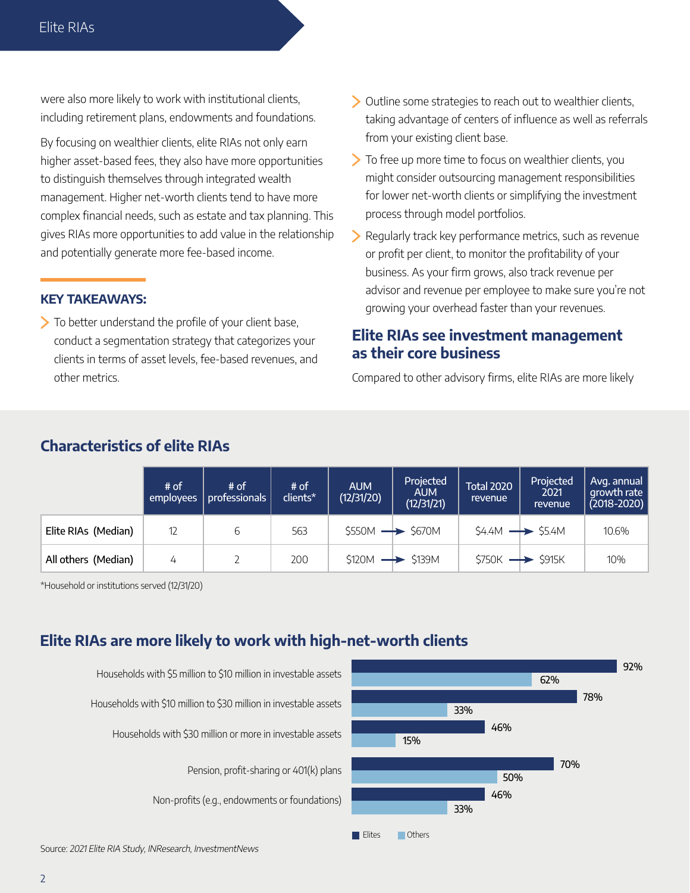were also more likely to work with institutional clients, including retirement plans, endowments and foundations.

By focusing on wealthier clients, elite RIAs not only earn higher asset-based fees, they also have more opportunities to distinguish themselves through integrated wealth management. Higher net-worth clients tend to have more complex financial needs, such as estate and tax planning. This gives RIAs more opportunities to add value in the relationship and potentially generate more fee-based income.

#### KEY TAKEAWAYS:

To better understand the profile of your client base, conduct a segmentation strategy that categorizes your clients in terms of asset levels, fee-based revenues, and other metrics.

- Outline some strategies to reach out to wealthier clients, taking advantage of centers of influence as well as referrals from your existing client base.
- To free up more time to focus on wealthier clients, you might consider outsourcing management responsibilities for lower net-worth clients or simplifying the investment process through model portfolios.
- Regularly track key performance metrics, such as revenue or profit per client, to monitor the profitability of your business. As your firm grows, also track revenue per advisor and revenue per employee to make sure you're not growing your overhead faster than your revenues.

### Elite RIAs see investment management as their core business

Compared to other advisory firms, elite RIAs are more likely

#### # of employees # of professionals # of clients\* AUM (12/31/20) Projected AUM (12/31/21) Total 2020 revenue Projected 2021 revenue Avg. annual growth rate (2018-2020) **Elite RIAs (Median)** 12 6 6 563 5550M  $\rightarrow$  \$670M 54.4M  $\rightarrow$  \$5.4M 10.6% All others (Median)  $\begin{array}{|c|c|c|c|c|c|c|c|c|} \hline \end{array}$  4  $\begin{array}{|c|c|c|c|c|c|c|c|} \hline \end{array}$  200  $\begin{array}{|c|c|c|c|c|c|c|c|} \hline \end{array}$  \$139M  $\begin{array}{|c|c|c|c|c|c|} \hline \end{array}$  \$750K  $\begin{array}{|c|c|c|c|c|c|} \hline \end{array}$  10%

\*Household or institutions served (12/31/20)

Characteristics of elite RIAs

# Elite RIAs are more likely to work with high-net-worth clients

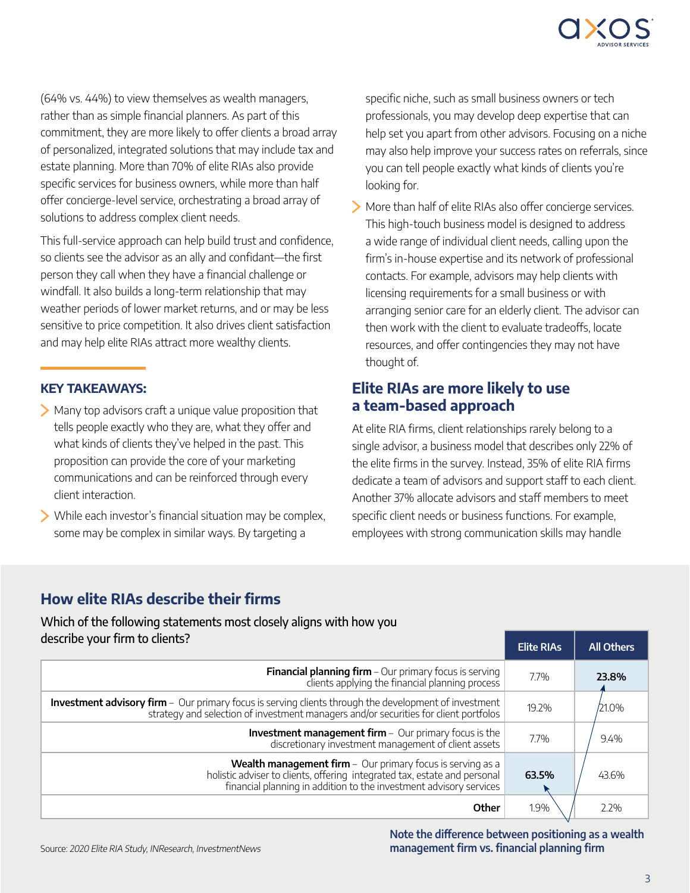

(64% vs. 44%) to view themselves as wealth managers, rather than as simple financial planners. As part of this commitment, they are more likely to offer clients a broad array of personalized, integrated solutions that may include tax and estate planning. More than 70% of elite RIAs also provide specific services for business owners, while more than half offer concierge-level service, orchestrating a broad array of solutions to address complex client needs.

This full-service approach can help build trust and confidence, so clients see the advisor as an ally and confidant—the first person they call when they have a financial challenge or windfall. It also builds a long-term relationship that may weather periods of lower market returns, and or may be less sensitive to price competition. It also drives client satisfaction and may help elite RIAs attract more wealthy clients.

#### KEY TAKEAWAYS:

- Many top advisors craft a unique value proposition that tells people exactly who they are, what they offer and what kinds of clients they've helped in the past. This proposition can provide the core of your marketing communications and can be reinforced through every client interaction.
- While each investor's financial situation may be complex, some may be complex in similar ways. By targeting a

specific niche, such as small business owners or tech professionals, you may develop deep expertise that can help set you apart from other advisors. Focusing on a niche may also help improve your success rates on referrals, since you can tell people exactly what kinds of clients you're looking for.

More than half of elite RIAs also offer concierge services. This high-touch business model is designed to address a wide range of individual client needs, calling upon the firm's in-house expertise and its network of professional contacts. For example, advisors may help clients with licensing requirements for a small business or with arranging senior care for an elderly client. The advisor can then work with the client to evaluate tradeoffs, locate resources, and offer contingencies they may not have thought of.

### Elite RIAs are more likely to use a team-based approach

At elite RIA firms, client relationships rarely belong to a single advisor, a business model that describes only 22% of the elite firms in the survey. Instead, 35% of elite RIA firms dedicate a team of advisors and support staff to each client. Another 37% allocate advisors and staff members to meet specific client needs or business functions. For example, employees with strong communication skills may handle

# How elite RIAs describe their firms

Which of the following statements most closely aligns with how you

| describe your firm to clients?                                                                                                                                                                                         | <b>Elite RIAs</b> | <b>All Others</b> |
|------------------------------------------------------------------------------------------------------------------------------------------------------------------------------------------------------------------------|-------------------|-------------------|
| <b>Financial planning firm</b> $-$ Our primary focus is serving<br>clients applying the financial planning process                                                                                                     | 7.7%              | 23.8%             |
| <b>Investment advisory firm</b> - Our primary focus is serving clients through the development of investment<br>strategy and selection of investment managers and/or securities for client portfolos                   | 19.2%             | /21.0%            |
| <b>Investment management firm</b> - Our primary focus is the<br>discretionary investment management of client assets                                                                                                   | 7.7%              | 9.4%              |
| <b>Wealth management firm</b> $-$ Our primary focus is serving as a<br>holistic adviser to clients, offering integrated tax, estate and personal<br>financial planning in addition to the investment advisory services | 63.5%             | 43.6%             |
| Other                                                                                                                                                                                                                  | 1.9%              | 2.2%              |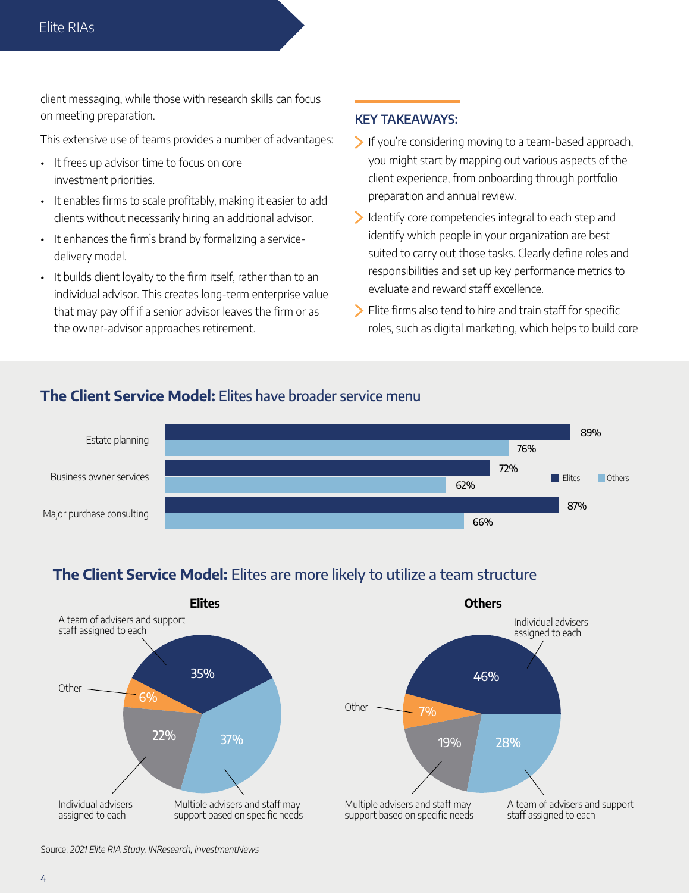client messaging, while those with research skills can focus on meeting preparation.

This extensive use of teams provides a number of advantages:

- It frees up advisor time to focus on core investment priorities.
- It enables firms to scale profitably, making it easier to add clients without necessarily hiring an additional advisor.
- It enhances the firm's brand by formalizing a servicedelivery model.
- It builds client loyalty to the firm itself, rather than to an individual advisor. This creates long-term enterprise value that may pay off if a senior advisor leaves the firm or as the owner-advisor approaches retirement.

#### KEY TAKEAWAYS:

- $\blacktriangleright$  If you're considering moving to a team-based approach, you might start by mapping out various aspects of the client experience, from onboarding through portfolio preparation and annual review.
- Identify core competencies integral to each step and identify which people in your organization are best suited to carry out those tasks. Clearly define roles and responsibilities and set up key performance metrics to evaluate and reward staff excellence.
- Elite firms also tend to hire and train staff for specific roles, such as digital marketing, which helps to build core

### The Client Service Model: Elites have broader service menu



# The Client Service Model: Elites are more likely to utilize a team structure



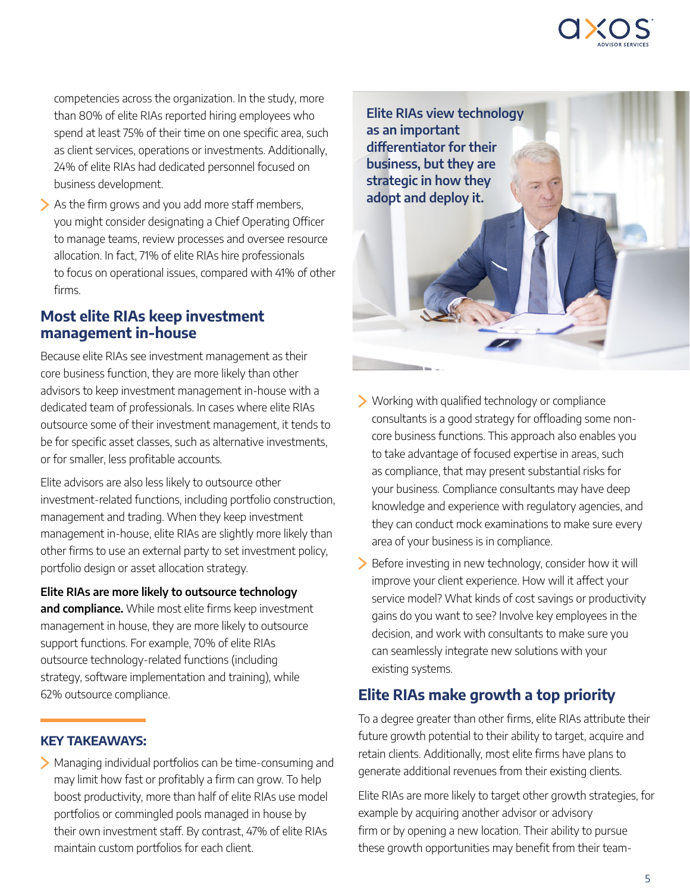

competencies across the organization. In the study, more than 80% of elite RIAs reported hiring employees who spend at least 75% of their time on one specific area, such as client services, operations or investments. Additionally, 24% of elite RIAs had dedicated personnel focused on business development.

As the firm grows and you add more staff members, you might consider designating a Chief Operating Officer to manage teams, review processes and oversee resource allocation. In fact, 71% of elite RIAs hire professionals to focus on operational issues, compared with 41% of other firms.

### Most elite RIAs keep investment management in-house

Because elite RIAs see investment management as their core business function, they are more likely than other advisors to keep investment management in-house with a dedicated team of professionals. In cases where elite RIAs outsource some of their investment management, it tends to be for specific asset classes, such as alternative investments, or for smaller, less profitable accounts.

Elite advisors are also less likely to outsource other investment-related functions, including portfolio construction, management and trading. When they keep investment management in-house, elite RIAs are slightly more likely than other firms to use an external party to set investment policy, portfolio design or asset allocation strategy.

#### Elite RIAs are more likely to outsource technology

and compliance. While most elite firms keep investment management in house, they are more likely to outsource support functions. For example, 70% of elite RIAs outsource technology-related functions (including strategy, software implementation and training), while 62% outsource compliance.

### KEY TAKEAWAYS:

Managing individual portfolios can be time-consuming and may limit how fast or profitably a firm can grow. To help boost productivity, more than half of elite RIAs use model portfolios or commingled pools managed in house by their own investment staff. By contrast, 47% of elite RIAs maintain custom portfolios for each client.



- Working with qualified technology or compliance consultants is a good strategy for offloading some noncore business functions. This approach also enables you to take advantage of focused expertise in areas, such as compliance, that may present substantial risks for your business. Compliance consultants may have deep knowledge and experience with regulatory agencies, and they can conduct mock examinations to make sure every area of your business is in compliance.
- Before investing in new technology, consider how it will improve your client experience. How will it affect your service model? What kinds of cost savings or productivity gains do you want to see? Involve key employees in the decision, and work with consultants to make sure you can seamlessly integrate new solutions with your existing systems.

### Elite RIAs make growth a top priority

To a degree greater than other firms, elite RIAs attribute their future growth potential to their ability to target, acquire and retain clients. Additionally, most elite firms have plans to generate additional revenues from their existing clients.

Elite RIAs are more likely to target other growth strategies, for example by acquiring another advisor or advisory firm or by opening a new location. Their ability to pursue these growth opportunities may benefit from their team-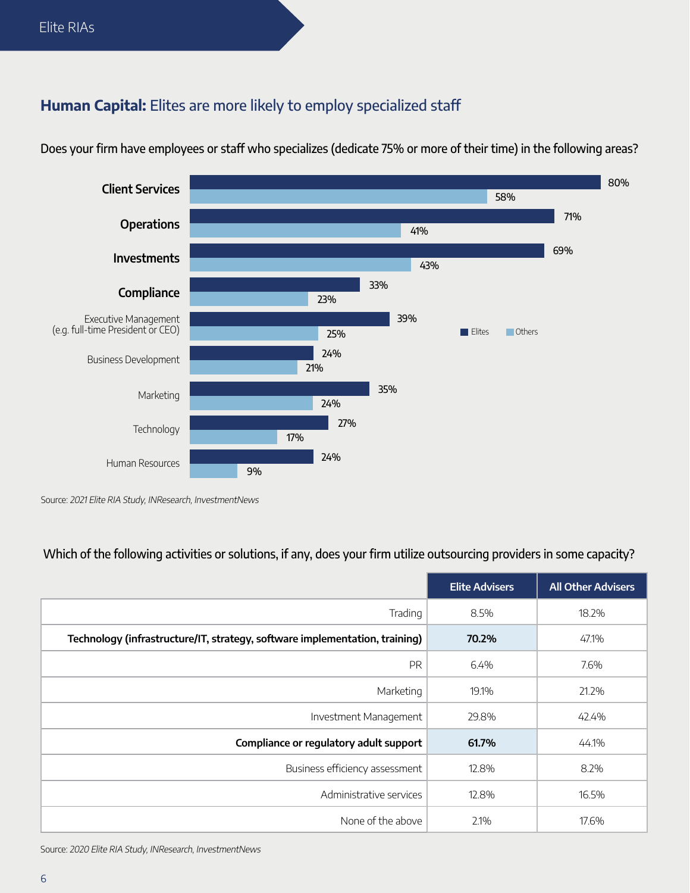# Human Capital: Elites are more likely to employ specialized staff



Does your firm have employees or staff who specializes (dedicate 75% or more of their time) in the following areas?

Source: 2021 Elite RIA Study, INResearch, InvestmentNews

### Which of the following activities or solutions, if any, does your firm utilize outsourcing providers in some capacity?

|                                                                             | <b>Elite Advisers</b> | <b>All Other Advisers</b> |
|-----------------------------------------------------------------------------|-----------------------|---------------------------|
| Trading                                                                     | 8.5%                  | 18.2%                     |
| Technology (infrastructure/IT, strategy, software implementation, training) | 70.2%                 | 47.1%                     |
| PR                                                                          | 6.4%                  | 7.6%                      |
| Marketing                                                                   | 19.1%                 | 21.2%                     |
| Investment Management                                                       | 29.8%                 | 42.4%                     |
| Compliance or regulatory adult support                                      | 61.7%                 | 44.1%                     |
| Business efficiency assessment                                              | 12.8%                 | 8.2%                      |
| Administrative services                                                     | 12.8%                 | 16.5%                     |
| None of the above                                                           | 2.1%                  | 17.6%                     |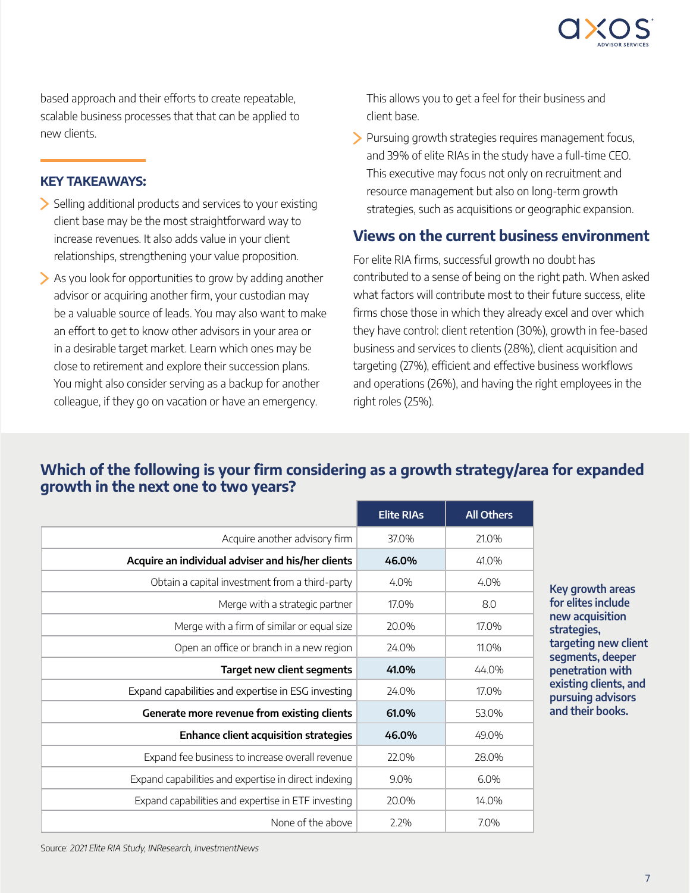

based approach and their efforts to create repeatable, scalable business processes that that can be applied to new clients.

#### KEY TAKEAWAYS:

- $\geq$  Selling additional products and services to your existing client base may be the most straightforward way to increase revenues. It also adds value in your client relationships, strengthening your value proposition.
- As you look for opportunities to grow by adding another advisor or acquiring another firm, your custodian may be a valuable source of leads. You may also want to make an effort to get to know other advisors in your area or in a desirable target market. Learn which ones may be close to retirement and explore their succession plans. You might also consider serving as a backup for another colleague, if they go on vacation or have an emergency.

This allows you to get a feel for their business and client base.

Pursuing growth strategies requires management focus, and 39% of elite RIAs in the study have a full-time CEO. This executive may focus not only on recruitment and resource management but also on long-term growth strategies, such as acquisitions or geographic expansion.

### Views on the current business environment

For elite RIA firms, successful growth no doubt has contributed to a sense of being on the right path. When asked what factors will contribute most to their future success, elite firms chose those in which they already excel and over which they have control: client retention (30%), growth in fee-based business and services to clients (28%), client acquisition and targeting (27%), efficient and effective business workflows and operations (26%), and having the right employees in the right roles (25%).

# Which of the following is your firm considering as a growth strategy/area for expanded growth in the next one to two years?

|                                                      | <b>Elite RIAs</b> | <b>All Others</b> |
|------------------------------------------------------|-------------------|-------------------|
| Acquire another advisory firm                        | 37.0%             | 21.0%             |
| Acquire an individual adviser and his/her clients    | 46.0%             | 41.0%             |
| Obtain a capital investment from a third-party       | 4.0%              | 4.0%              |
| Merge with a strategic partner                       | 17.0%             | 8.0               |
| Merge with a firm of similar or equal size           | 20.0%             | 17.0%             |
| Open an office or branch in a new region             | 24.0%             | 11.0%             |
| <b>Target new client segments</b>                    | 41.0%             | 44.0%             |
| Expand capabilities and expertise in ESG investing   | 24.0%             | 17.0%             |
| Generate more revenue from existing clients          | 61.0%             | 53.0%             |
| <b>Enhance client acquisition strategies</b>         | 46.0%             | 49.0%             |
| Expand fee business to increase overall revenue      | 22.0%             | 28.0%             |
| Expand capabilities and expertise in direct indexing | 9.0%              | 6.0%              |
| Expand capabilities and expertise in ETF investing   | 20.0%             | 14.0%             |
| None of the above                                    | 2.2%              | 7.0%              |

Key growth areas for elites include new acquisition strategies, targeting new client segments, deeper penetration with existing clients, and pursuing advisors and their books.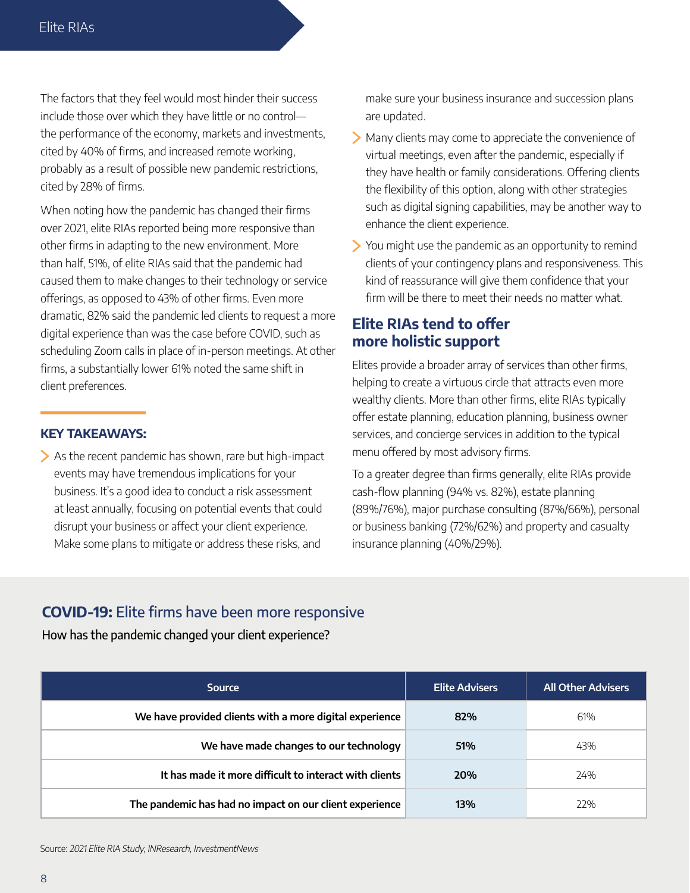The factors that they feel would most hinder their success include those over which they have little or no control the performance of the economy, markets and investments, cited by 40% of firms, and increased remote working, probably as a result of possible new pandemic restrictions, cited by 28% of firms.

When noting how the pandemic has changed their firms over 2021, elite RIAs reported being more responsive than other firms in adapting to the new environment. More than half, 51%, of elite RIAs said that the pandemic had caused them to make changes to their technology or service offerings, as opposed to 43% of other firms. Even more dramatic, 82% said the pandemic led clients to request a more digital experience than was the case before COVID, such as scheduling Zoom calls in place of in-person meetings. At other firms, a substantially lower 61% noted the same shift in client preferences.

#### KEY TAKEAWAYS:

As the recent pandemic has shown, rare but high-impact events may have tremendous implications for your business. It's a good idea to conduct a risk assessment at least annually, focusing on potential events that could disrupt your business or affect your client experience. Make some plans to mitigate or address these risks, and

make sure your business insurance and succession plans are updated.

- Many clients may come to appreciate the convenience of virtual meetings, even after the pandemic, especially if they have health or family considerations. Offering clients the flexibility of this option, along with other strategies such as digital signing capabilities, may be another way to enhance the client experience.
- You might use the pandemic as an opportunity to remind clients of your contingency plans and responsiveness. This kind of reassurance will give them confidence that your firm will be there to meet their needs no matter what.

### Elite RIAs tend to offer more holistic support

Elites provide a broader array of services than other firms, helping to create a virtuous circle that attracts even more wealthy clients. More than other firms, elite RIAs typically offer estate planning, education planning, business owner services, and concierge services in addition to the typical menu offered by most advisory firms.

To a greater degree than firms generally, elite RIAs provide cash-flow planning (94% vs. 82%), estate planning (89%/76%), major purchase consulting (87%/66%), personal or business banking (72%/62%) and property and casualty insurance planning (40%/29%).

# COVID-19: Elite firms have been more responsive

How has the pandemic changed your client experience?

| <b>Source</b>                                           | <b>Elite Advisers</b> | <b>All Other Advisers</b> |  |
|---------------------------------------------------------|-----------------------|---------------------------|--|
| We have provided clients with a more digital experience | 82%                   | 61%                       |  |
| We have made changes to our technology                  | 51%                   | 43%                       |  |
| It has made it more difficult to interact with clients  | <b>20%</b>            | 24%                       |  |
| The pandemic has had no impact on our client experience | 13%                   | 77%                       |  |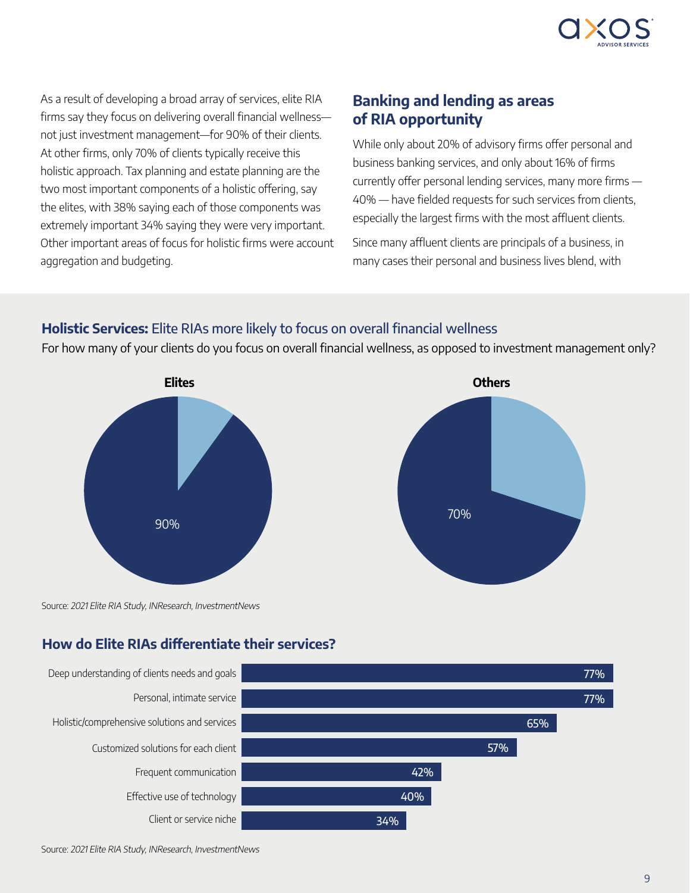

As a result of developing a broad array of services, elite RIA firms say they focus on delivering overall financial wellness not just investment management—for 90% of their clients. At other firms, only 70% of clients typically receive this holistic approach. Tax planning and estate planning are the two most important components of a holistic offering, say the elites, with 38% saying each of those components was extremely important 34% saying they were very important. Other important areas of focus for holistic firms were account aggregation and budgeting.

# Banking and lending as areas of RIA opportunity

While only about 20% of advisory firms offer personal and business banking services, and only about 16% of firms currently offer personal lending services, many more firms — 40% — have fielded requests for such services from clients, especially the largest firms with the most affluent clients.

Since many affluent clients are principals of a business, in many cases their personal and business lives blend, with

### Holistic Services: Elite RIAs more likely to focus on overall financial wellness

For how many of your clients do you focus on overall financial wellness, as opposed to investment management only?





Source: 2021 Elite RIA Study, INResearch, InvestmentNews

# How do Elite RIAs differentiate their services?

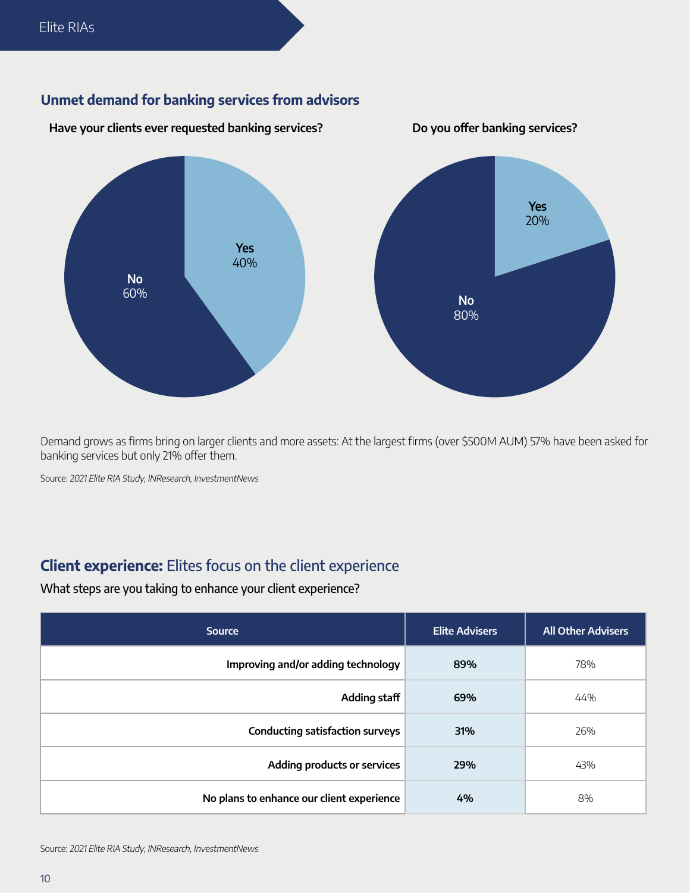### Unmet demand for banking services from advisors



Demand grows as firms bring on larger clients and more assets: At the largest firms (over \$500M AUM) 57% have been asked for banking services but only 21% offer them.

Source: 2021 Elite RIA Study, INResearch, InvestmentNews

# Client experience: Elites focus on the client experience

What steps are you taking to enhance your client experience?

| <b>Source</b>                             | <b>Elite Advisers</b> | <b>All Other Advisers</b> |  |
|-------------------------------------------|-----------------------|---------------------------|--|
| Improving and/or adding technology        | 89%                   | 78%                       |  |
| Adding staff                              | 69%                   | 44%                       |  |
| <b>Conducting satisfaction surveys</b>    | 31%                   | 26%                       |  |
| Adding products or services               | 29%                   | 43%                       |  |
| No plans to enhance our client experience | 4%                    | 8%                        |  |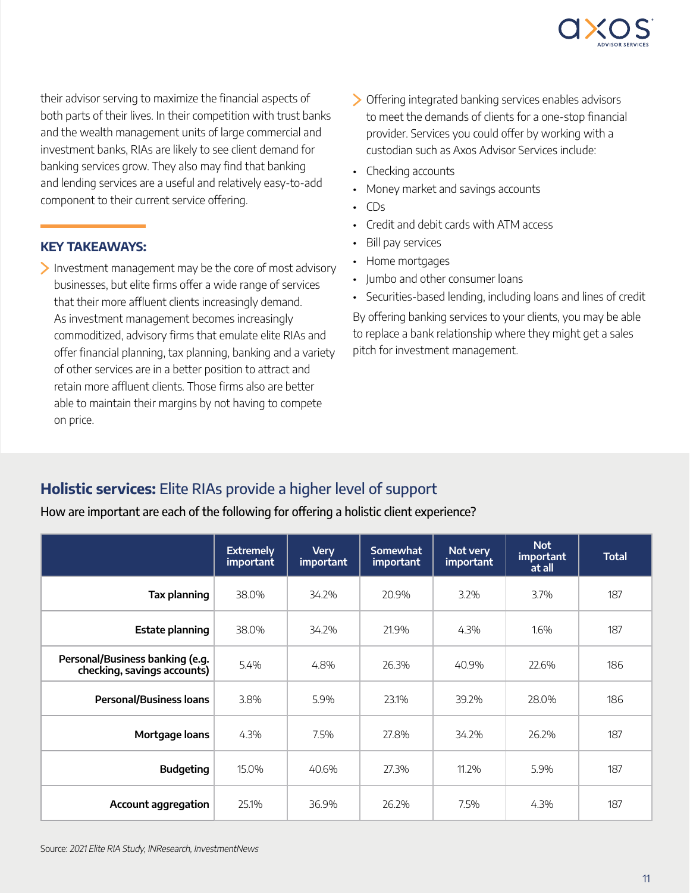

their advisor serving to maximize the financial aspects of both parts of their lives. In their competition with trust banks and the wealth management units of large commercial and investment banks, RIAs are likely to see client demand for banking services grow. They also may find that banking and lending services are a useful and relatively easy-to-add component to their current service offering.

#### KEY TAKEAWAYS:

 $\blacktriangleright$  Investment management may be the core of most advisory businesses, but elite firms offer a wide range of services that their more affluent clients increasingly demand. As investment management becomes increasingly commoditized, advisory firms that emulate elite RIAs and offer financial planning, tax planning, banking and a variety of other services are in a better position to attract and retain more affluent clients. Those firms also are better able to maintain their margins by not having to compete on price.

- Offering integrated banking services enables advisors to meet the demands of clients for a one-stop financial provider. Services you could offer by working with a custodian such as Axos Advisor Services include:
- Checking accounts
- Money market and savings accounts
- $\cdot$  CDs
- Credit and debit cards with ATM access
- Bill pay services
- Home mortgages
- Jumbo and other consumer loans
- Securities-based lending, including loans and lines of credit

By offering banking services to your clients, you may be able to replace a bank relationship where they might get a sales pitch for investment management.

# Holistic services: Elite RIAs provide a higher level of support

How are important are each of the following for offering a holistic client experience?

|                                                                | <b>Extremely</b><br>important | <b>Very</b><br>important | <b>Somewhat</b><br><i>important</i> | Not very<br>important | <b>Not</b><br>important<br>at all | <b>Total</b> |
|----------------------------------------------------------------|-------------------------------|--------------------------|-------------------------------------|-----------------------|-----------------------------------|--------------|
| Tax planning                                                   | 38.0%                         | 34.2%                    | 20.9%                               | 3.2%                  | 3.7%                              | 187          |
| <b>Estate planning</b>                                         | 38.0%                         | 34.2%                    | 21.9%                               | 4.3%                  | 1.6%                              | 187          |
| Personal/Business banking (e.g.<br>checking, savings accounts) | 5.4%                          | 4.8%                     | 26.3%                               | 40.9%                 | 22.6%                             | 186          |
| <b>Personal/Business loans</b>                                 | 3.8%                          | 5.9%                     | 23.1%                               | 39.2%                 | 28.0%                             | 186          |
| Mortgage loans                                                 | 4.3%                          | 7.5%                     | 27.8%                               | 34.2%                 | 26.2%                             | 187          |
| <b>Budgeting</b>                                               | 15.0%                         | 40.6%                    | 27.3%                               | 11.2%                 | 5.9%                              | 187          |
| <b>Account aggregation</b>                                     | 25.1%                         | 36.9%                    | 26.2%                               | 7.5%                  | 4.3%                              | 187          |